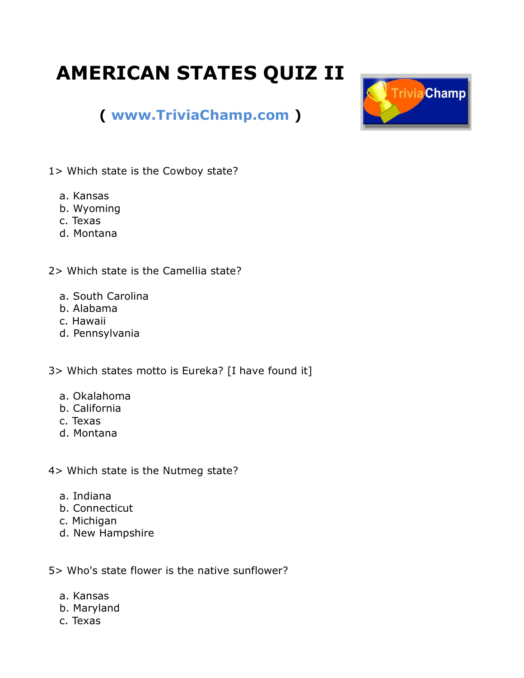## **AMERICAN STATES QUIZ II**



## **( [www.TriviaChamp.com](http://www.triviachamp.com/) )**

- 1> Which state is the Cowboy state?
	- a. Kansas
	- b. Wyoming
	- c. Texas
	- d. Montana
- 2> Which state is the Camellia state?
	- a. South Carolina
	- b. Alabama
	- c. Hawaii
	- d. Pennsylvania
- 3> Which states motto is Eureka? [I have found it]
	- a. Okalahoma
	- b. California
	- c. Texas
	- d. Montana
- 4> Which state is the Nutmeg state?
	- a. Indiana
	- b. Connecticut
	- c. Michigan
	- d. New Hampshire
- 5> Who's state flower is the native sunflower?
	- a. Kansas
	- b. Maryland
	- c. Texas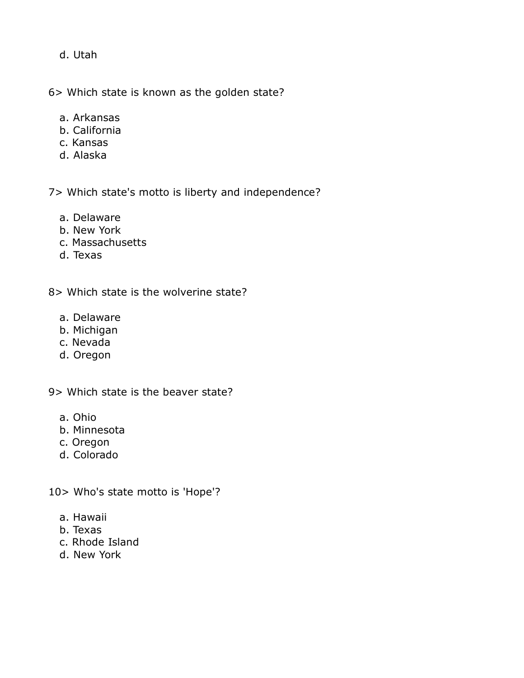d. Utah

6> Which state is known as the golden state?

- a. Arkansas
- b. California
- c. Kansas
- d. Alaska

7> Which state's motto is liberty and independence?

- a. Delaware
- b. New York
- c. Massachusetts
- d. Texas

8> Which state is the wolverine state?

- a. Delaware
- b. Michigan
- c. Nevada
- d. Oregon

9> Which state is the beaver state?

- a. Ohio
- b. Minnesota
- c. Oregon
- d. Colorado

10> Who's state motto is 'Hope'?

- a. Hawaii
- b. Texas
- c. Rhode Island
- d. New York